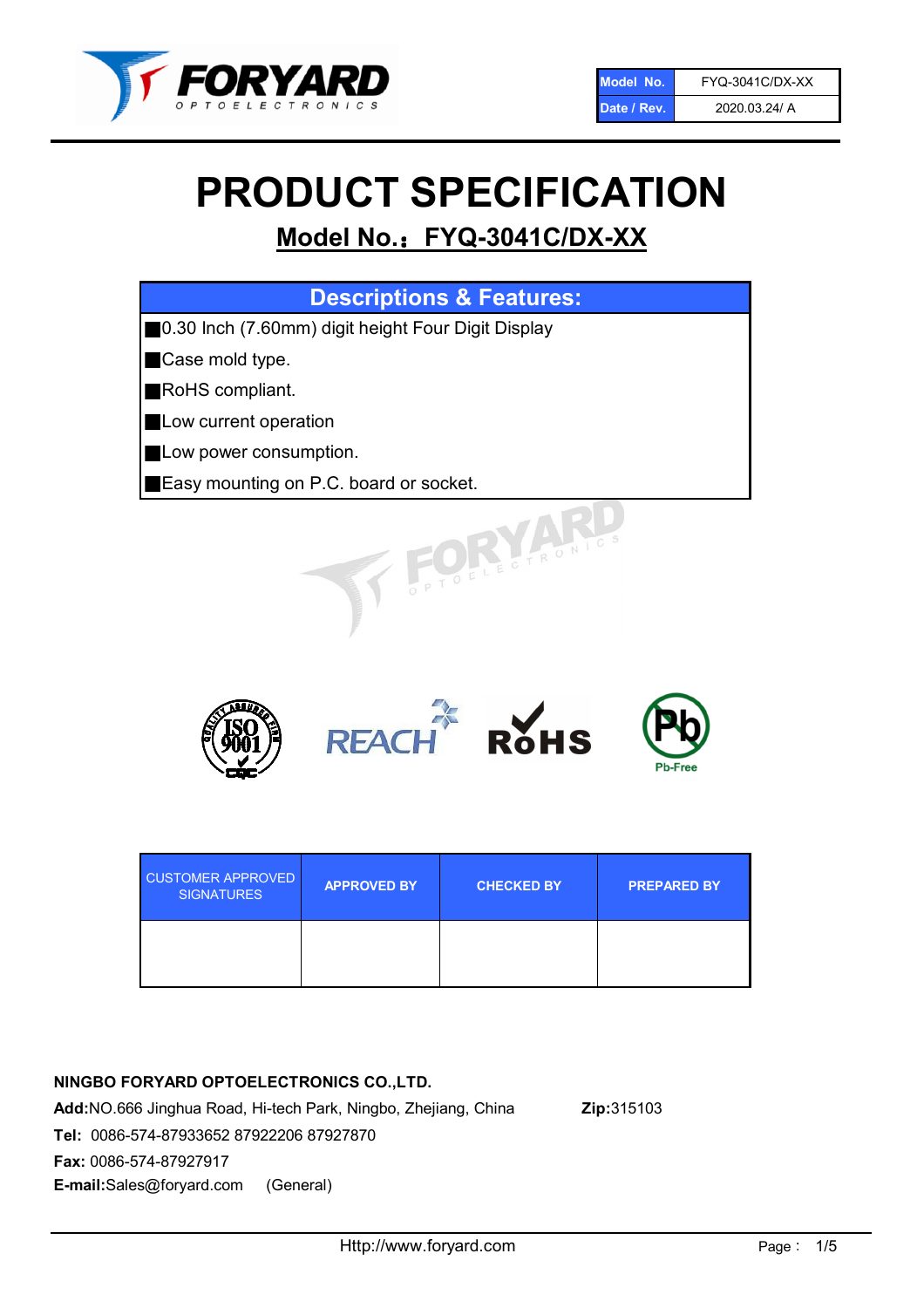

# PRODUCT SPECIFICATION

# Model No.: FYQ-3041C/DX-XX

| <b>Descriptions &amp; Features:</b>                |
|----------------------------------------------------|
| 0.30 Inch (7.60mm) digit height Four Digit Display |
| Case mold type.                                    |
| RoHS compliant.                                    |
| Low current operation                              |
| Low power consumption.                             |
| Easy mounting on P.C. board or socket.             |
| PTOELECTRONIC                                      |



| <b>CUSTOMER APPROVED</b><br><b>SIGNATURES</b> | <b>APPROVED BY</b> | <b>CHECKED BY</b> | <b>PREPARED BY</b> |
|-----------------------------------------------|--------------------|-------------------|--------------------|
|                                               |                    |                   |                    |

# NINGBO FORYARD OPTOELECTRONICS CO.,LTD.

Add:NO.666 Jinghua Road, Hi-tech Park, Ningbo, Zhejiang, China Zip:315103 Tel: 0086-574-87933652 87922206 87927870 Fax: 0086-574-87927917 E-mail:Sales@foryard.com (General)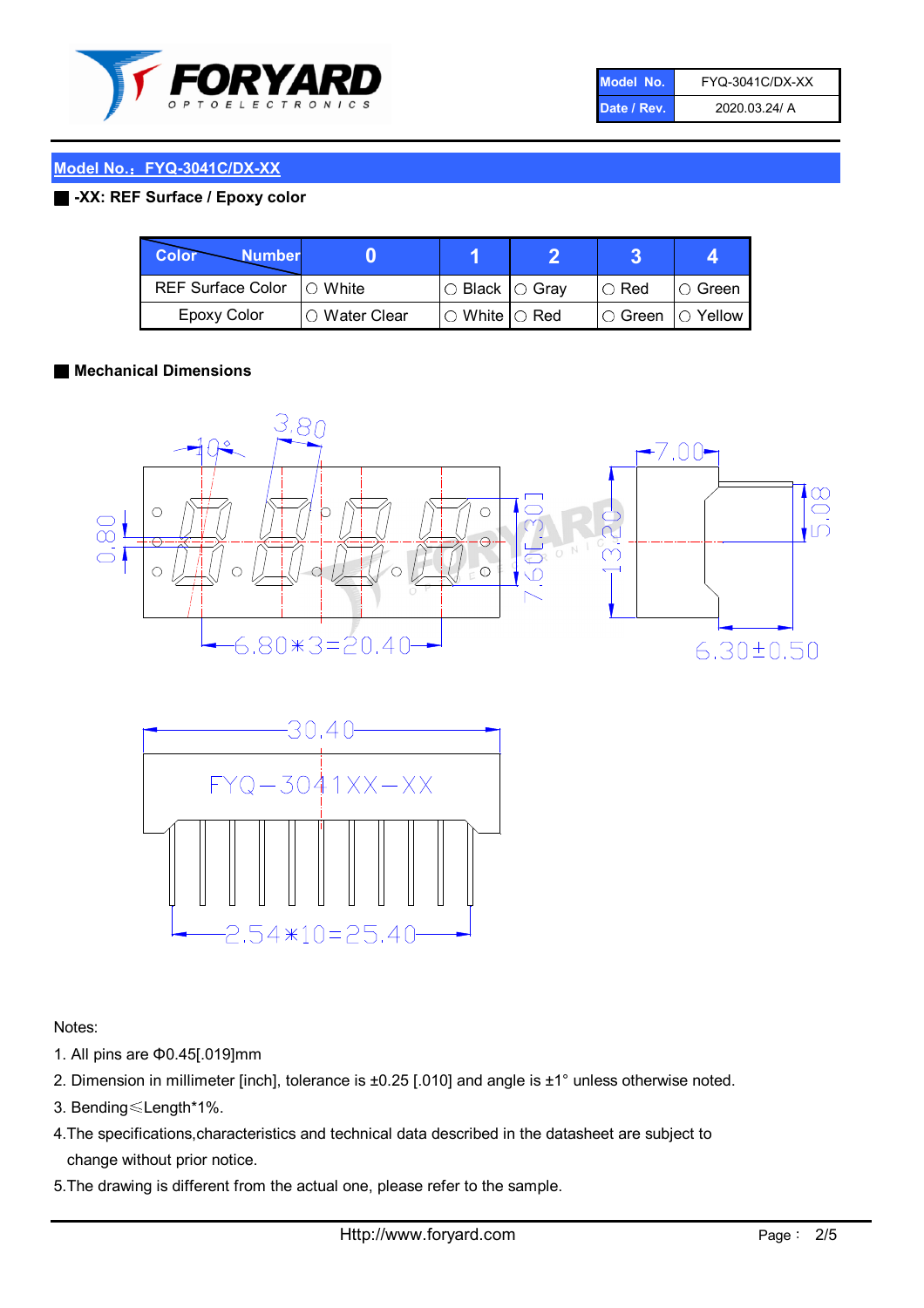

| Model No.   | <b>FYQ-3041C/DX-XX</b> |
|-------------|------------------------|
| Date / Rev. | 2020.03.24/ A          |

## Model No.: FYQ-3041C/DX-XX

#### ■ -XX: REF Surface / Epoxy color

| Color<br><b>Number</b>      |                |                                                   |                              |               |
|-----------------------------|----------------|---------------------------------------------------|------------------------------|---------------|
| REF Surface Color   O White |                | $\circ$ Black $\circ$ Gray                        | $\cup$ Red                   | $\circ$ Green |
| Epoxy Color                 | I∩ Water Clear | $\mathbin{\varcap}$ White $\mathbin{\varcap}$ Red | $\circ$ Green $\circ$ Yellow |               |

#### ■ Mechanical Dimensions





Notes:

- 1. All pins are Φ0.45[.019]mm
- 2. Dimension in millimeter [inch], tolerance is ±0.25 [.010] and angle is ±1° unless otherwise noted.
- 3. Bending≤Length\*1%.
- 4.The specifications,characteristics and technical data described in the datasheet are subject to change without prior notice.
- 5.The drawing is different from the actual one, please refer to the sample.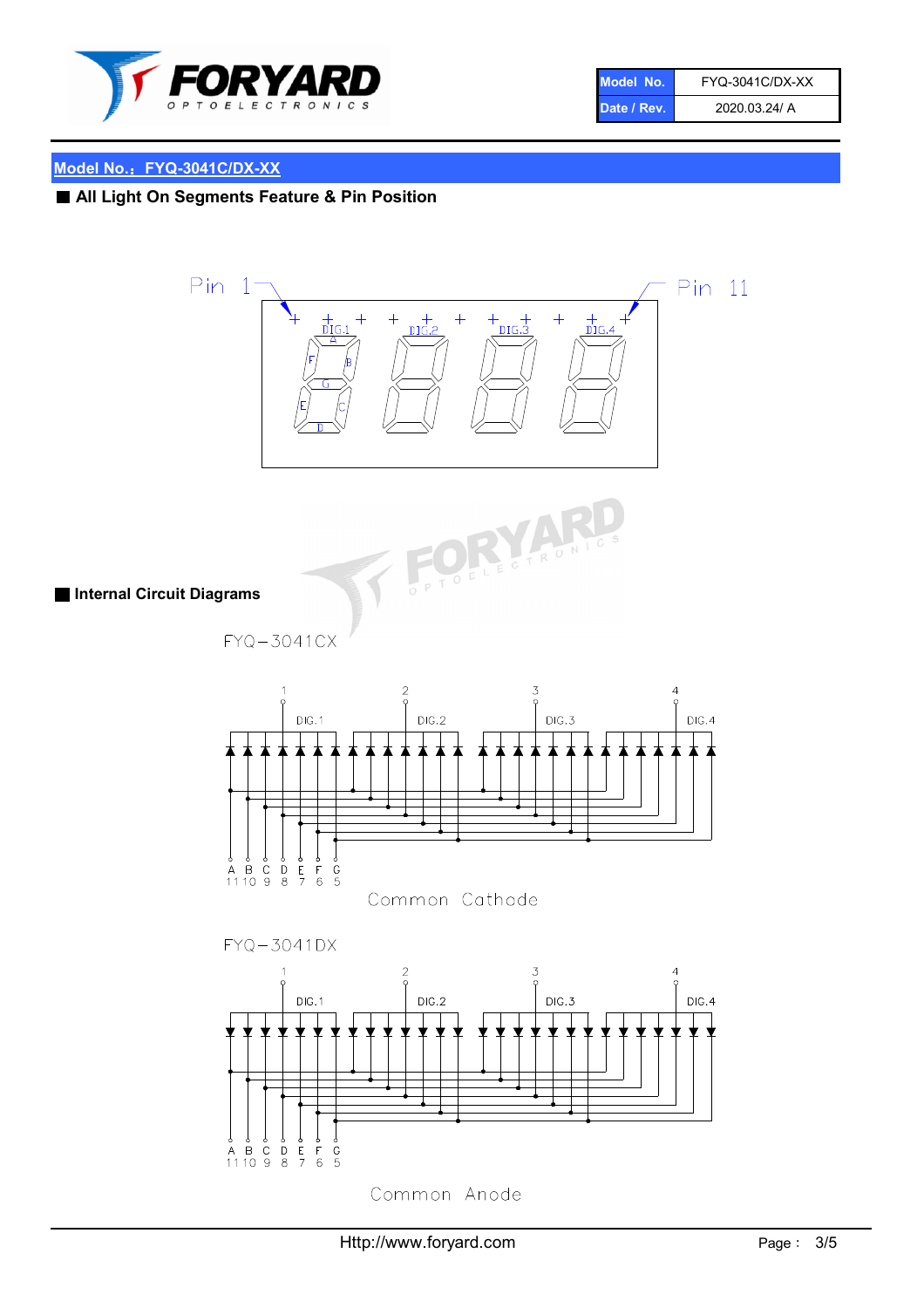

| Model No.   | FYQ-3041C/DX-XX |
|-------------|-----------------|
| Date / Rev. | 2020.03.24/ A   |

# Model No.: FYQ-3041C/DX-XX

# ■ All Light On Segments Feature & Pin Position





■ Internal Circuit Diagrams

 $FYQ - 3041CX$ 





Common Anode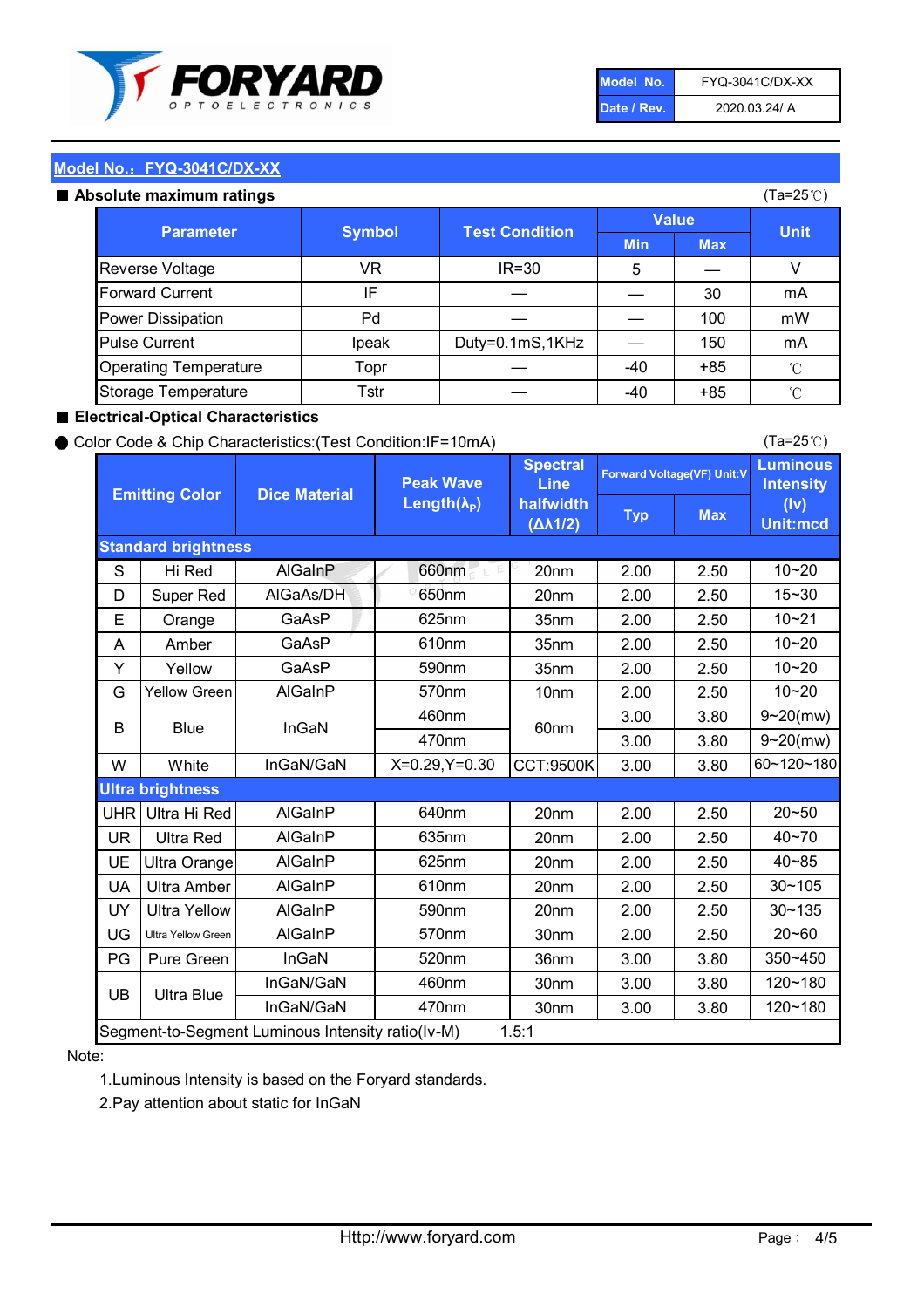

| Model No.   | FYQ-3041C/DX-XX |
|-------------|-----------------|
| Date / Rev. | 2020.03.24/ A   |

(Ta=25℃)

#### Model No.: FYQ-3041C/DX-XX

#### Absolute maximum

| solute maximum ratings       |               |                       |              |            | (Ta=25℃)    |
|------------------------------|---------------|-----------------------|--------------|------------|-------------|
| <b>Parameter</b>             | <b>Symbol</b> | <b>Test Condition</b> | <b>Value</b> |            |             |
|                              |               |                       | <b>Min</b>   | <b>Max</b> | <b>Unit</b> |
| Reverse Voltage              | VR            | $IR = 30$             | 5            |            |             |
| <b>Forward Current</b>       | IF            |                       |              | 30         | mA          |
| Power Dissipation            | Pd            |                       |              | 100        | mW          |
| <b>Pulse Current</b>         | Ipeak         | Duty=0.1mS,1KHz       |              | 150        | mA          |
| <b>Operating Temperature</b> | Topr          |                       | $-40$        | $+85$      | °C          |
| Storage Temperature          | Tstr          |                       | -40          | $+85$      | °C          |

#### ■ Electrical-Optical Characteristics

#### ● Color Code & Chip Characteristics:(Test Condition:IF=10mA)

Typ Max S | Hi $\textsf{Red}$  | AlGaInP | 660nm LE 20nm | 2.00 | 2.50 D | Super Red | AIGaAs/DH | 650nm | 20nm | 2.00 | 2.50 E | Orange | GaAsP | 625nm | 35nm | 2.00 | 2.50 A | Amber | GaAsP | 610nm | 35nm | 2.00 | 2.50 Y | Yellow | GaAsP | 590nm | 35nm | 2.00 | 2.50 G Yellow Green AIGaInP | 570nm | 10nm | 2.00 | 2.50 3.00 3.80 3.00 3.80 W | White | InGaN/GaN | X=0.29,Y=0.30 |CCT:9500K| 3.00 | 3.80 UHR Ultra Hi Red  $\vert$  AIGaInP  $\vert$  640nm  $\vert$  20nm  $\vert$  2.00  $\vert$  2.50 UR | Ultra Red | AlGaInP | 635nm | 20nm | 2.00 | 2.50 UE Ultra Orange | AIGaInP | 625nm | 20nm | 2.00 | 2.50 UA Ultra Amber | AIGaInP | 610nm | 20nm | 2.00 | 2.50  $UV$  Ultra Yellow  $\vert$  AlGaInP  $\vert$  590nm  $\vert$  20nm  $\vert$  2.00  $\vert$  2.50  $\text{UG}$  Ultra Yellow Green | AIGaInP | 570nm | 30nm | 2.00 | 2.50 PG | Pure Green | InGaN | 520nm | 36nm | 3.00 | 3.80 30nm 3.00 3.80 30nm 3.00 3.80 10~20 Standard brightness Forward Voltage(VF) Unit:V 15~30 10~20 10~20 625nm GaAsP 590nm **Emitting Color Dice Material** 10~21 610nm Luminous **Intensity** (Iv) Unit:mcd AlGainP 660nm GaAsP GaAsP AlGaAs/DH **Spectral** Line halfwidth (∆λ1/2) Peak Wave Length $(\lambda_{\rm P})$ UB 460nm 635nm AlGaInP AlGaInP AlGaInP InGaN/GaN AlGaInP | 570nm | 10nm | 2.00 | 2.50 | 10~20 30~105 30~135 460nm 520nm Ultra brightness **AlGaInP** AlGaInP 60nm AlGaInP 640nm Segment-to-Segment Luminous Intensity ratio(Iv-M) 1.5:1 610nm 9~20(mw) 350~450 470nm 120~180 120~180 Ultra Blue InGaN/GaN 9~20(mw) 20~50 570nm | 30nm | 2.00 | 2.50 | 20~60 470nm 590nm InGaN/GaN B Blue I InGaN 40~85 60~120~180 40~70

#### Note:

1.Luminous Intensity is based on the Foryard standards.

2.Pay attention about static for InGaN